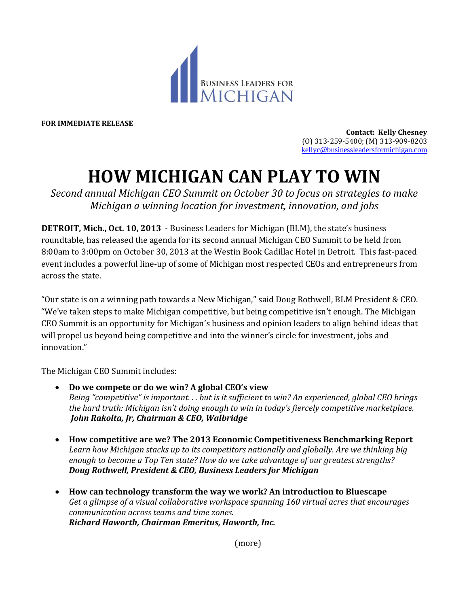

**FOR IMMEDIATE RELEASE**

**Contact: Kelly Chesney** (O) 313-259-5400; (M) 313-909-8203 [kellyc@businessleadersformichigan.com](mailto:kellyc@businessleadersformichigan.com)

## **HOW MICHIGAN CAN PLAY TO WIN**

*Second annual Michigan CEO Summit on October 30 to focus on strategies to make Michigan a winning location for investment, innovation, and jobs*

**DETROIT, Mich., Oct. 10, 2013** - Business Leaders for Michigan (BLM), the state's business roundtable, has released the agenda for its second annual Michigan CEO Summit to be held from 8:00am to 3:00pm on October 30, 2013 at the Westin Book Cadillac Hotel in Detroit. This fast-paced event includes a powerful line-up of some of Michigan most respected CEOs and entrepreneurs from across the state.

"Our state is on a winning path towards a New Michigan," said Doug Rothwell, BLM President & CEO. "We've taken steps to make Michigan competitive, but being competitive isn't enough. The Michigan CEO Summit is an opportunity for Michigan's business and opinion leaders to align behind ideas that will propel us beyond being competitive and into the winner's circle for investment, jobs and innovation."

The Michigan CEO Summit includes:

- **Do we compete or do we win? A global CEO's view**  *Being "competitive" is important. . . but is it sufficient to win? An experienced, global CEO brings the hard truth: Michigan isn't doing enough to win in today's fiercely competitive marketplace. John Rakolta, Jr, Chairman & CEO, Walbridge*
- **How competitive are we? The 2013 Economic Competitiveness Benchmarking Report** *Learn how Michigan stacks up to its competitors nationally and globally. Are we thinking big enough to become a Top Ten state? How do we take advantage of our greatest strengths? Doug Rothwell, President & CEO, Business Leaders for Michigan*
- **How can technology transform the way we work? An introduction to Bluescape**  *Get a glimpse of a visual collaborative workspace spanning 160 virtual acres that encourages communication across teams and time zones. Richard Haworth, Chairman Emeritus, Haworth, Inc.*

(more)